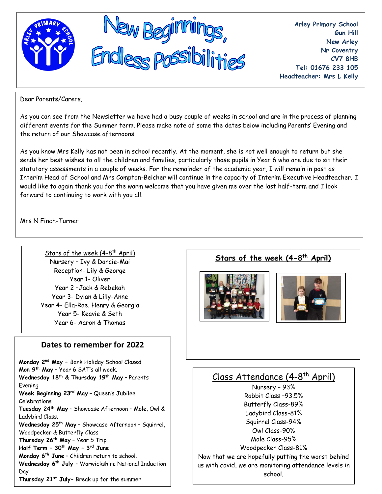

**Arley Primary School Gun Hill New Arley Nr Coventry CV7 8HB Tel: 01676 233 105 Headteacher: Mrs L Kelly**

Dear Parents/Carers,

As you can see from the Newsletter we have had a busy couple of weeks in school and are in the process of planning different events for the Summer term. Please make note of some the dates below including Parents' Evening and the return of our Showcase afternoons.

As you know Mrs Kelly has not been in school recently. At the moment, she is not well enough to return but she sends her best wishes to all the children and families, particularly those pupils in Year 6 who are due to sit their statutory assessments in a couple of weeks. For the remainder of the academic year, I will remain in post as Interim Head of School and Mrs Compton-Belcher will continue in the capacity of Interim Executive Headteacher. I would like to again thank you for the warm welcome that you have given me over the last half-term and I look forward to continuing to work with you all.

Mrs N Finch-Turner

Stars of the week (4-8<sup>th</sup> April) Nursery – Ivy & Darcie-Mai Reception- Lily & George Year 1- Oliver Year 2 –Jack & Rebekah Year 3- Dylan & Lilly-Anne Year 4- Ella-Rae, Henry & Georgia Year 5- Keavie & Seth Year 6- Aaron & Thomas

### **Dates to remember for 2022**

**Monday 2nd May –** Bank Holiday School Closed **Mon 9th May** – Year 6 SAT's all week. **Wednesday 18th & Thursday 19th May** – Parents Evening **Week Beginning 23rd May** – Queen's Jubilee Celebrations **Tuesday 24th May** – Showcase Afternoon – Mole, Owl & Ladybird Class. **Wednesday 25th May** – Showcase Afternoon – Squirrel, Woodpecker & Butterfly Class **Thursday 26th May** – Year 5 Trip **Half Term – 30th May – 3 rd June Monday 6th June –** Children return to school. **Wednesday 6th July –** Warwickshire National Induction Day **Thursday 21st July-** Break up for the summer

# **Stars of the week (4-8 th April)**





# <u>Class Attendance (4-8<sup>th</sup> April)</u>

Nursery – 93% Rabbit Class –93.5% Butterfly Class-89% Ladybird Class-81% Squirrel Class-94% Owl Class-90% Mole Class-95% Woodpecker Class-81% Now that we are hopefully putting the worst behind us with covid, we are monitoring attendance levels in school.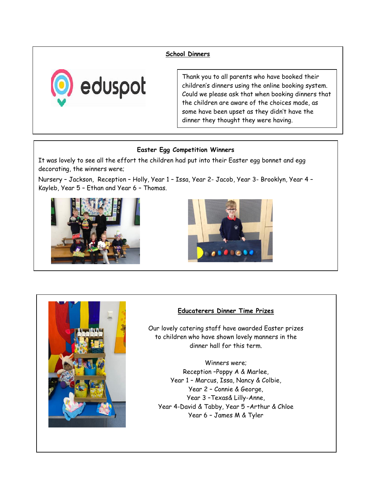#### **School Dinners**



Thank you to all parents who have booked their children's dinners using the online booking system. Could we please ask that when booking dinners that the children are aware of the choices made, as some have been upset as they didn't have the dinner they thought they were having.

#### **Easter Egg Competition Winners**

It was lovely to see all the effort the children had put into their Easter egg bonnet and egg decorating, the winners were;

Nursery – Jackson, Reception – Holly, Year 1 – Issa, Year 2- Jacob, Year 3- Brooklyn, Year 4 – Kayleb, Year 5 – Ethan and Year 6 – Thomas.







#### **Educaterers Dinner Time Prizes**

Our lovely catering staff have awarded Easter prizes to children who have shown lovely manners in the dinner hall for this term.

Winners were; Reception –Poppy A & Marlee, Year 1 – Marcus, Issa, Nancy & Colbie, Year 2 – Connie & George, Year 3 –Texas& Lilly-Anne, Year 4-David & Tabby, Year 5 –Arthur & Chloe Year 6 – James M & Tyler